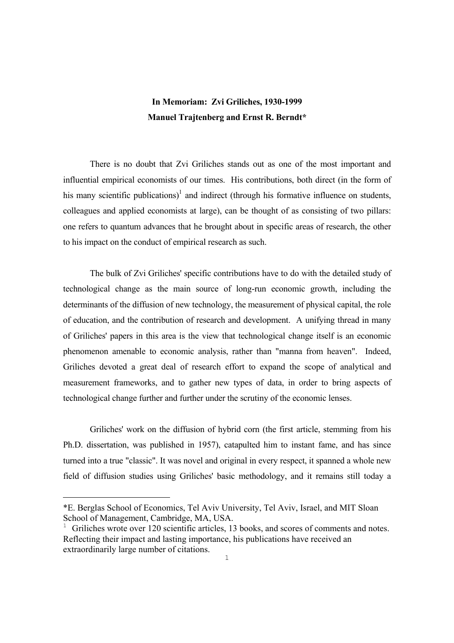## **In Memoriam: Zvi Griliches, 1930-1999 Manuel Trajtenberg and Ernst R. Berndt\***

 There is no doubt that Zvi Griliches stands out as one of the most important and influential empirical economists of our times. His contributions, both direct (in the form of his many scientific publications)<sup>1</sup> and indirect (through his formative influence on students, colleagues and applied economists at large), can be thought of as consisting of two pillars: one refers to quantum advances that he brought about in specific areas of research, the other to his impact on the conduct of empirical research as such.

 The bulk of Zvi Griliches' specific contributions have to do with the detailed study of technological change as the main source of long-run economic growth, including the determinants of the diffusion of new technology, the measurement of physical capital, the role of education, and the contribution of research and development. A unifying thread in many of Griliches' papers in this area is the view that technological change itself is an economic phenomenon amenable to economic analysis, rather than "manna from heaven". Indeed, Griliches devoted a great deal of research effort to expand the scope of analytical and measurement frameworks, and to gather new types of data, in order to bring aspects of technological change further and further under the scrutiny of the economic lenses.

 Griliches' work on the diffusion of hybrid corn (the first article, stemming from his Ph.D. dissertation, was published in 1957), catapulted him to instant fame, and has since turned into a true "classic". It was novel and original in every respect, it spanned a whole new field of diffusion studies using Griliches' basic methodology, and it remains still today a

i<br>I

<sup>\*</sup>E. Berglas School of Economics, Tel Aviv University, Tel Aviv, Israel, and MIT Sloan School of Management, Cambridge, MA, USA.

Griliches wrote over 120 scientific articles, 13 books, and scores of comments and notes. Reflecting their impact and lasting importance, his publications have received an extraordinarily large number of citations.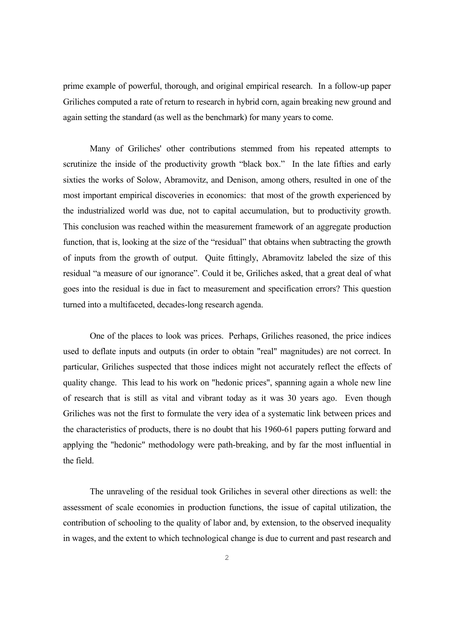prime example of powerful, thorough, and original empirical research. In a follow-up paper Griliches computed a rate of return to research in hybrid corn, again breaking new ground and again setting the standard (as well as the benchmark) for many years to come.

 Many of Griliches' other contributions stemmed from his repeated attempts to scrutinize the inside of the productivity growth "black box." In the late fifties and early sixties the works of Solow, Abramovitz, and Denison, among others, resulted in one of the most important empirical discoveries in economics: that most of the growth experienced by the industrialized world was due, not to capital accumulation, but to productivity growth. This conclusion was reached within the measurement framework of an aggregate production function, that is, looking at the size of the "residual" that obtains when subtracting the growth of inputs from the growth of output. Quite fittingly, Abramovitz labeled the size of this residual "a measure of our ignorance". Could it be, Griliches asked, that a great deal of what goes into the residual is due in fact to measurement and specification errors? This question turned into a multifaceted, decades-long research agenda.

 One of the places to look was prices. Perhaps, Griliches reasoned, the price indices used to deflate inputs and outputs (in order to obtain "real" magnitudes) are not correct. In particular, Griliches suspected that those indices might not accurately reflect the effects of quality change. This lead to his work on "hedonic prices", spanning again a whole new line of research that is still as vital and vibrant today as it was 30 years ago. Even though Griliches was not the first to formulate the very idea of a systematic link between prices and the characteristics of products, there is no doubt that his 1960-61 papers putting forward and applying the "hedonic" methodology were path-breaking, and by far the most influential in the field.

 The unraveling of the residual took Griliches in several other directions as well: the assessment of scale economies in production functions, the issue of capital utilization, the contribution of schooling to the quality of labor and, by extension, to the observed inequality in wages, and the extent to which technological change is due to current and past research and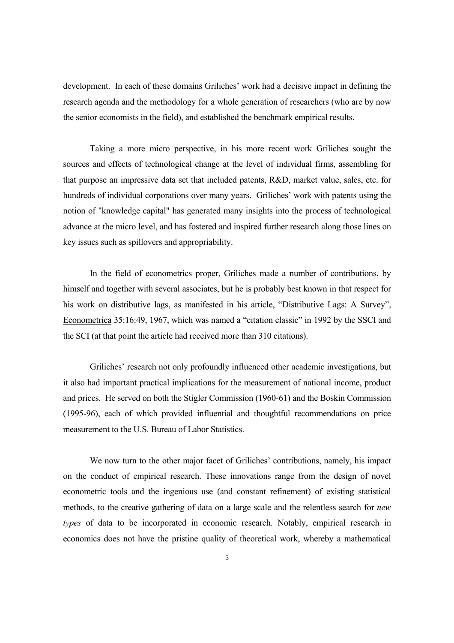development. In each of these domains Griliches' work had a decisive impact in defining the research agenda and the methodology for a whole generation of researchers (who are by now the senior economists in the field), and established the benchmark empirical results.

 Taking a more micro perspective, in his more recent work Griliches sought the sources and effects of technological change at the level of individual firms, assembling for that purpose an impressive data set that included patents, R&D, market value, sales, etc. for hundreds of individual corporations over many years. Griliches' work with patents using the notion of "knowledge capital" has generated many insights into the process of technological advance at the micro level, and has fostered and inspired further research along those lines on key issues such as spillovers and appropriability.

 In the field of econometrics proper, Griliches made a number of contributions, by himself and together with several associates, but he is probably best known in that respect for his work on distributive lags, as manifested in his article, "Distributive Lags: A Survey", Econometrica 35:16:49, 1967, which was named a "citation classic" in 1992 by the SSCI and the SCI (at that point the article had received more than 310 citations).

 Griliches' research not only profoundly influenced other academic investigations, but it also had important practical implications for the measurement of national income, product and prices. He served on both the Stigler Commission (1960-61) and the Boskin Commission (1995-96), each of which provided influential and thoughtful recommendations on price measurement to the U.S. Bureau of Labor Statistics.

 We now turn to the other major facet of Griliches' contributions, namely, his impact on the conduct of empirical research. These innovations range from the design of novel econometric tools and the ingenious use (and constant refinement) of existing statistical methods, to the creative gathering of data on a large scale and the relentless search for *new types* of data to be incorporated in economic research. Notably, empirical research in economics does not have the pristine quality of theoretical work, whereby a mathematical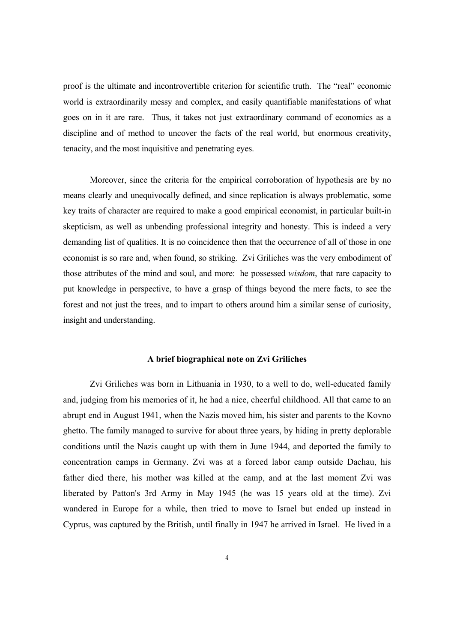proof is the ultimate and incontrovertible criterion for scientific truth. The "real" economic world is extraordinarily messy and complex, and easily quantifiable manifestations of what goes on in it are rare. Thus, it takes not just extraordinary command of economics as a discipline and of method to uncover the facts of the real world, but enormous creativity, tenacity, and the most inquisitive and penetrating eyes.

 Moreover, since the criteria for the empirical corroboration of hypothesis are by no means clearly and unequivocally defined, and since replication is always problematic, some key traits of character are required to make a good empirical economist, in particular built-in skepticism, as well as unbending professional integrity and honesty. This is indeed a very demanding list of qualities. It is no coincidence then that the occurrence of all of those in one economist is so rare and, when found, so striking. Zvi Griliches was the very embodiment of those attributes of the mind and soul, and more: he possessed *wisdom*, that rare capacity to put knowledge in perspective, to have a grasp of things beyond the mere facts, to see the forest and not just the trees, and to impart to others around him a similar sense of curiosity, insight and understanding.

## **A brief biographical note on Zvi Griliches**

Zvi Griliches was born in Lithuania in 1930, to a well to do, well-educated family and, judging from his memories of it, he had a nice, cheerful childhood. All that came to an abrupt end in August 1941, when the Nazis moved him, his sister and parents to the Kovno ghetto. The family managed to survive for about three years, by hiding in pretty deplorable conditions until the Nazis caught up with them in June 1944, and deported the family to concentration camps in Germany. Zvi was at a forced labor camp outside Dachau, his father died there, his mother was killed at the camp, and at the last moment Zvi was liberated by Patton's 3rd Army in May 1945 (he was 15 years old at the time). Zvi wandered in Europe for a while, then tried to move to Israel but ended up instead in Cyprus, was captured by the British, until finally in 1947 he arrived in Israel. He lived in a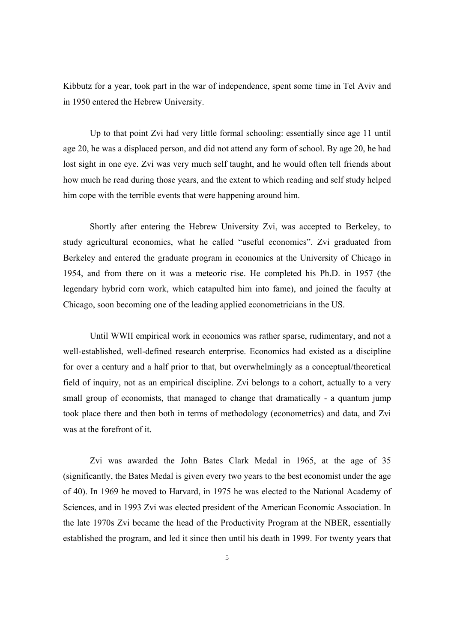Kibbutz for a year, took part in the war of independence, spent some time in Tel Aviv and in 1950 entered the Hebrew University.

Up to that point Zvi had very little formal schooling: essentially since age 11 until age 20, he was a displaced person, and did not attend any form of school. By age 20, he had lost sight in one eye. Zvi was very much self taught, and he would often tell friends about how much he read during those years, and the extent to which reading and self study helped him cope with the terrible events that were happening around him.

Shortly after entering the Hebrew University Zvi, was accepted to Berkeley, to study agricultural economics, what he called "useful economics". Zvi graduated from Berkeley and entered the graduate program in economics at the University of Chicago in 1954, and from there on it was a meteoric rise. He completed his Ph.D. in 1957 (the legendary hybrid corn work, which catapulted him into fame), and joined the faculty at Chicago, soon becoming one of the leading applied econometricians in the US.

Until WWII empirical work in economics was rather sparse, rudimentary, and not a well-established, well-defined research enterprise. Economics had existed as a discipline for over a century and a half prior to that, but overwhelmingly as a conceptual/theoretical field of inquiry, not as an empirical discipline. Zvi belongs to a cohort, actually to a very small group of economists, that managed to change that dramatically - a quantum jump took place there and then both in terms of methodology (econometrics) and data, and Zvi was at the forefront of it.

Zvi was awarded the John Bates Clark Medal in 1965, at the age of 35 (significantly, the Bates Medal is given every two years to the best economist under the age of 40). In 1969 he moved to Harvard, in 1975 he was elected to the National Academy of Sciences, and in 1993 Zvi was elected president of the American Economic Association. In the late 1970s Zvi became the head of the Productivity Program at the NBER, essentially established the program, and led it since then until his death in 1999. For twenty years that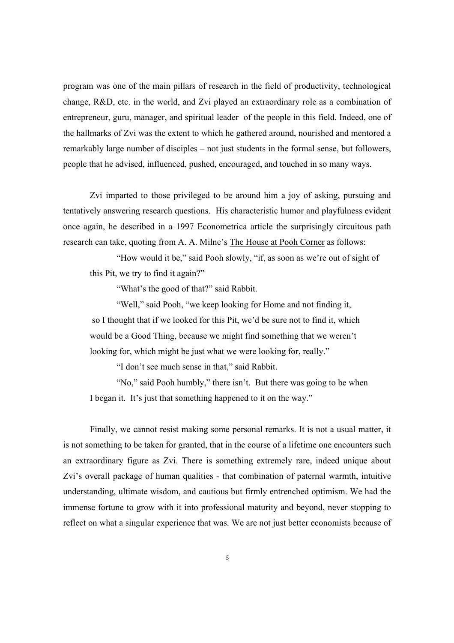program was one of the main pillars of research in the field of productivity, technological change, R&D, etc. in the world, and Zvi played an extraordinary role as a combination of entrepreneur, guru, manager, and spiritual leader of the people in this field. Indeed, one of the hallmarks of Zvi was the extent to which he gathered around, nourished and mentored a remarkably large number of disciples – not just students in the formal sense, but followers, people that he advised, influenced, pushed, encouraged, and touched in so many ways.

Zvi imparted to those privileged to be around him a joy of asking, pursuing and tentatively answering research questions. His characteristic humor and playfulness evident once again, he described in a 1997 Econometrica article the surprisingly circuitous path research can take, quoting from A. A. Milne's The House at Pooh Corner as follows:

"How would it be," said Pooh slowly, "if, as soon as we're out of sight of this Pit, we try to find it again?"

"What's the good of that?" said Rabbit.

"Well," said Pooh, "we keep looking for Home and not finding it, so I thought that if we looked for this Pit, we'd be sure not to find it, which would be a Good Thing, because we might find something that we weren't looking for, which might be just what we were looking for, really."

"I don't see much sense in that," said Rabbit.

"No," said Pooh humbly," there isn't. But there was going to be when I began it. It's just that something happened to it on the way."

Finally, we cannot resist making some personal remarks. It is not a usual matter, it is not something to be taken for granted, that in the course of a lifetime one encounters such an extraordinary figure as Zvi. There is something extremely rare, indeed unique about Zvi's overall package of human qualities - that combination of paternal warmth, intuitive understanding, ultimate wisdom, and cautious but firmly entrenched optimism. We had the immense fortune to grow with it into professional maturity and beyond, never stopping to reflect on what a singular experience that was. We are not just better economists because of